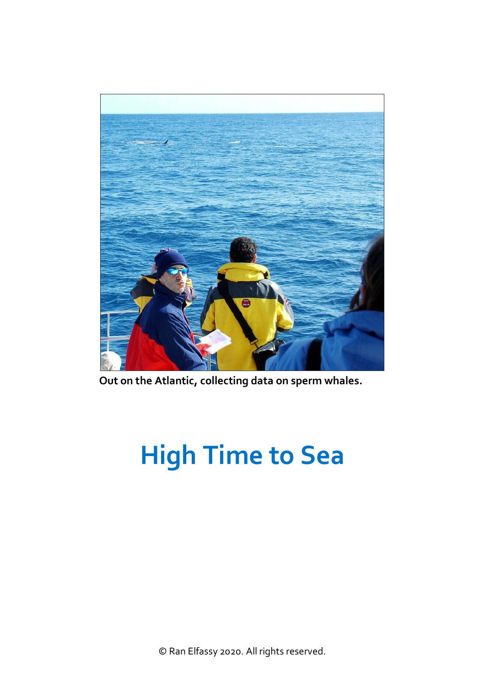

**Out on the Atlantic, collecting data on sperm whales.**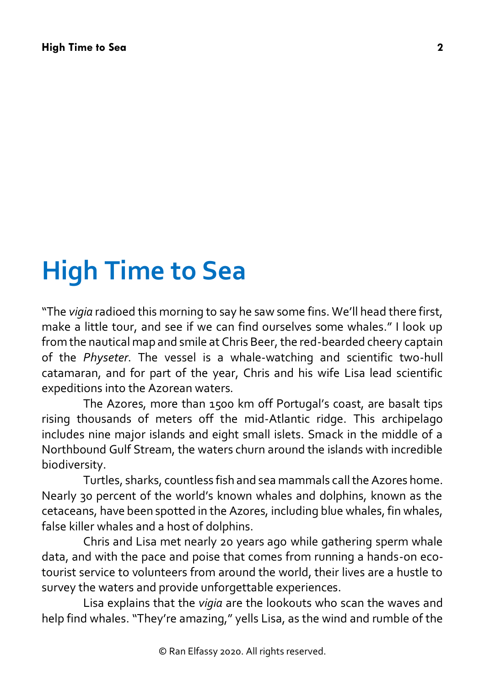"The *vigia* radioed this morning to say he saw some fins. We'll head there first, make a little tour, and see if we can find ourselves some whales." I look up from the nautical map and smile at Chris Beer, the red-bearded cheery captain of the *Physeter*. The vessel is a whale-watching and scientific two-hull catamaran, and for part of the year, Chris and his wife Lisa lead scientific expeditions into the Azorean waters.

The Azores, more than 1500 km off Portugal's coast, are basalt tips rising thousands of meters off the mid-Atlantic ridge. This archipelago includes nine major islands and eight small islets. Smack in the middle of a Northbound Gulf Stream, the waters churn around the islands with incredible biodiversity.

Turtles, sharks, countless fish and sea mammals call the Azores home. Nearly 30 percent of the world's known whales and dolphins, known as the cetaceans, have been spotted in the Azores, including blue whales, fin whales, false killer whales and a host of dolphins.

Chris and Lisa met nearly 20 years ago while gathering sperm whale data, and with the pace and poise that comes from running a hands-on ecotourist service to volunteers from around the world, their lives are a hustle to survey the waters and provide unforgettable experiences.

Lisa explains that the *vigia* are the lookouts who scan the waves and help find whales. "They're amazing," yells Lisa, as the wind and rumble of the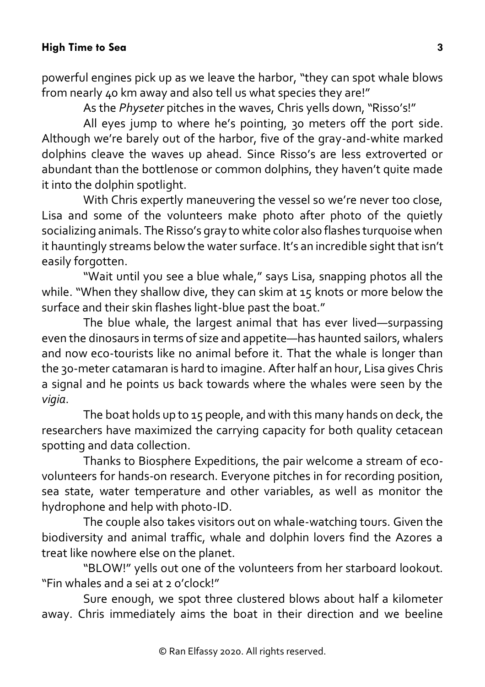powerful engines pick up as we leave the harbor, "they can spot whale blows from nearly 40 km away and also tell us what species they are!"

As the *Physeter* pitches in the waves, Chris yells down, "Risso's!"

All eyes jump to where he's pointing, 30 meters off the port side. Although we're barely out of the harbor, five of the gray-and-white marked dolphins cleave the waves up ahead. Since Risso's are less extroverted or abundant than the bottlenose or common dolphins, they haven't quite made it into the dolphin spotlight.

With Chris expertly maneuvering the vessel so we're never too close, Lisa and some of the volunteers make photo after photo of the quietly socializing animals. The Risso's gray to white color also flashes turquoise when it hauntingly streams below the water surface. It's an incredible sight that isn't easily forgotten.

"Wait until you see a blue whale," says Lisa, snapping photos all the while. "When they shallow dive, they can skim at 15 knots or more below the surface and their skin flashes light-blue past the boat."

The blue whale, the largest animal that has ever lived—surpassing even the dinosaurs in terms of size and appetite—has haunted sailors, whalers and now eco-tourists like no animal before it. That the whale is longer than the 30-meter catamaran is hard to imagine. After half an hour, Lisa gives Chris a signal and he points us back towards where the whales were seen by the *vigia*.

The boat holds up to 15 people, and with this many hands on deck, the researchers have maximized the carrying capacity for both quality cetacean spotting and data collection.

Thanks to Biosphere Expeditions, the pair welcome a stream of ecovolunteers for hands-on research. Everyone pitches in for recording position, sea state, water temperature and other variables, as well as monitor the hydrophone and help with photo-ID.

The couple also takes visitors out on whale-watching tours. Given the biodiversity and animal traffic, whale and dolphin lovers find the Azores a treat like nowhere else on the planet.

"BLOW!" yells out one of the volunteers from her starboard lookout. "Fin whales and a sei at 2 o'clock!"

Sure enough, we spot three clustered blows about half a kilometer away. Chris immediately aims the boat in their direction and we beeline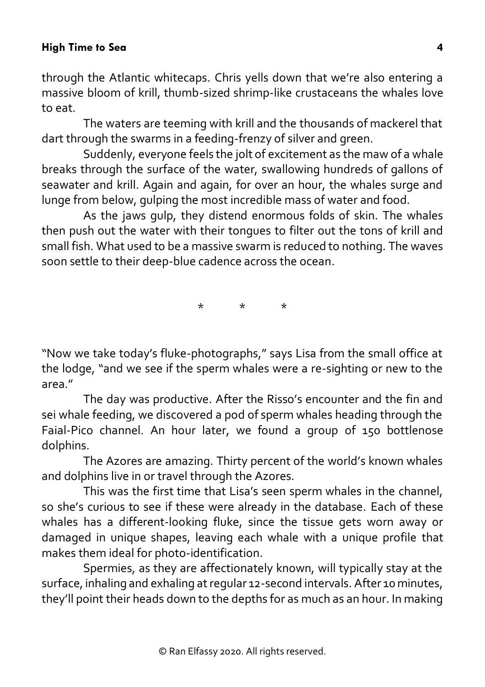through the Atlantic whitecaps. Chris yells down that we're also entering a massive bloom of krill, thumb-sized shrimp-like crustaceans the whales love to eat.

The waters are teeming with krill and the thousands of mackerel that dart through the swarms in a feeding-frenzy of silver and green.

Suddenly, everyone feels the jolt of excitement as the maw of a whale breaks through the surface of the water, swallowing hundreds of gallons of seawater and krill. Again and again, for over an hour, the whales surge and lunge from below, gulping the most incredible mass of water and food.

As the jaws gulp, they distend enormous folds of skin. The whales then push out the water with their tongues to filter out the tons of krill and small fish. What used to be a massive swarm is reduced to nothing. The waves soon settle to their deep-blue cadence across the ocean.

\* \* \*

"Now we take today's fluke-photographs," says Lisa from the small office at the lodge, "and we see if the sperm whales were a re-sighting or new to the area."

The day was productive. After the Risso's encounter and the fin and sei whale feeding, we discovered a pod of sperm whales heading through the Faial-Pico channel. An hour later, we found a group of 150 bottlenose dolphins.

The Azores are amazing. Thirty percent of the world's known whales and dolphins live in or travel through the Azores.

This was the first time that Lisa's seen sperm whales in the channel, so she's curious to see if these were already in the database. Each of these whales has a different-looking fluke, since the tissue gets worn away or damaged in unique shapes, leaving each whale with a unique profile that makes them ideal for photo-identification.

Spermies, as they are affectionately known, will typically stay at the surface, inhaling and exhaling at regular 12-second intervals. After 10 minutes, they'll point their heads down to the depths for as much as an hour. In making